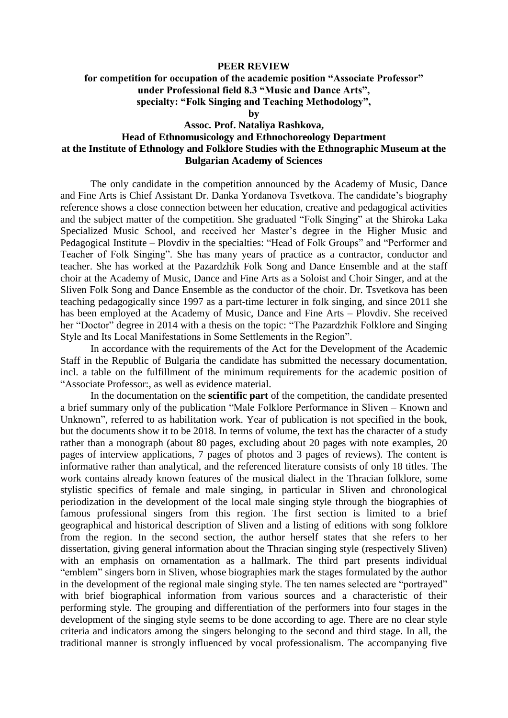## **PEER REVIEW**

## **for competition for occupation of the academic position "Associate Professor" under Professional field 8.3 "Music and Dance Arts", specialty: "Folk Singing and Teaching Methodology",**

**by**

## **Assoc. Prof. Nataliya Rashkova, Head of Ethnomusicology and Ethnochoreology Department at the Institute of Ethnology and Folklore Studies with the Ethnographic Museum at the Bulgarian Academy of Sciences**

The only candidate in the competition announced by the Academy of Music, Dance and Fine Arts is Chief Assistant Dr. Danka Yordanova Tsvetkova. The candidate's biography reference shows a close connection between her education, creative and pedagogical activities and the subject matter of the competition. She graduated "Folk Singing" at the Shiroka Laka Specialized Music School, and received her Master's degree in the Higher Music and Pedagogical Institute – Plovdiv in the specialties: "Head of Folk Groups" and "Performer and Teacher of Folk Singing". She has many years of practice as a contractor, conductor and teacher. She has worked at the Pazardzhik Folk Song and Dance Ensemble and at the staff choir at the Academy of Music, Dance and Fine Arts as a Soloist and Choir Singer, and at the Sliven Folk Song and Dance Ensemble as the conductor of the choir. Dr. Tsvetkova has been teaching pedagogically since 1997 as a part-time lecturer in folk singing, and since 2011 she has been employed at the Academy of Music, Dance and Fine Arts – Plovdiv. She received her "Doctor" degree in 2014 with a thesis on the topic: "The Pazardzhik Folklore and Singing Style and Its Local Manifestations in Some Settlements in the Region".

In accordance with the requirements of the Act for the Development of the Academic Staff in the Republic of Bulgaria the candidate has submitted the necessary documentation, incl. a table on the fulfillment of the minimum requirements for the academic position of "Associate Professor:, as well as evidence material.

In the documentation on the **scientific part** of the competition, the candidate presented a brief summary only of the publication "Male Folklore Performance in Sliven – Known and Unknown", referred to as habilitation work. Year of publication is not specified in the book, but the documents show it to be 2018. In terms of volume, the text has the character of a study rather than a monograph (about 80 pages, excluding about 20 pages with note examples, 20 pages of interview applications, 7 pages of photos and 3 pages of reviews). The content is informative rather than analytical, and the referenced literature consists of only 18 titles. The work contains already known features of the musical dialect in the Thracian folklore, some stylistic specifics of female and male singing, in particular in Sliven and chronological periodization in the development of the local male singing style through the biographies of famous professional singers from this region. The first section is limited to a brief geographical and historical description of Sliven and a listing of editions with song folklore from the region. In the second section, the author herself states that she refers to her dissertation, giving general information about the Thracian singing style (respectively Sliven) with an emphasis on ornamentation as a hallmark. The third part presents individual "emblem" singers born in Sliven, whose biographies mark the stages formulated by the author in the development of the regional male singing style. The ten names selected are "portrayed" with brief biographical information from various sources and a characteristic of their performing style. The grouping and differentiation of the performers into four stages in the development of the singing style seems to be done according to age. There are no clear style criteria and indicators among the singers belonging to the second and third stage. In all, the traditional manner is strongly influenced by vocal professionalism. The accompanying five